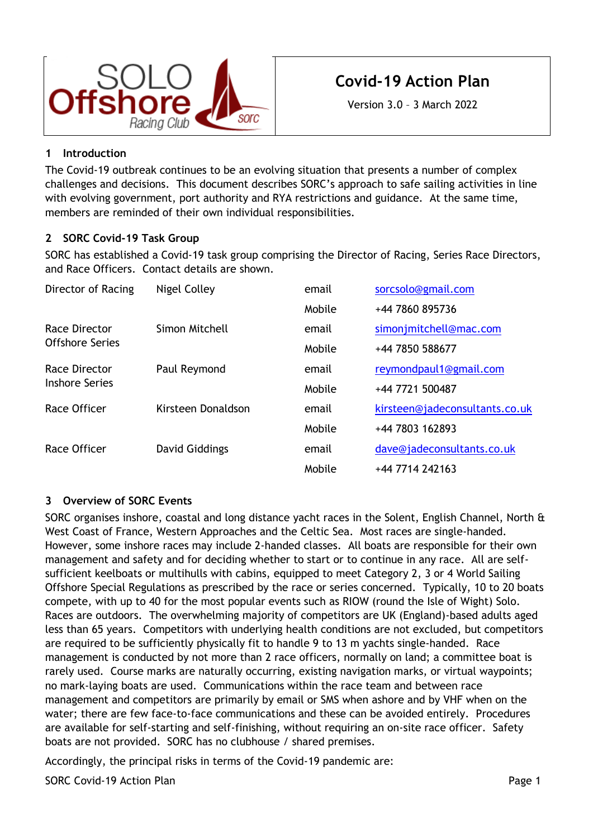

# **Covid-19 Action Plan**

Version 3.0 – 3 March 2022

# **1 Introduction**

The Covid-19 outbreak continues to be an evolving situation that presents a number of complex challenges and decisions. This document describes SORC's approach to safe sailing activities in line with evolving government, port authority and RYA restrictions and guidance. At the same time, members are reminded of their own individual responsibilities.

## **2 SORC Covid-19 Task Group**

SORC has established a Covid-19 task group comprising the Director of Racing, Series Race Directors, and Race Officers. Contact details are shown.

| Director of Racing                     | Nigel Colley       | email  | sorcsolo@gmail.com             |
|----------------------------------------|--------------------|--------|--------------------------------|
|                                        |                    | Mobile | +44 7860 895736                |
| Race Director<br>Offshore Series       | Simon Mitchell     | email  | simonjmitchell@mac.com         |
|                                        |                    | Mobile | +44 7850 588677                |
| Race Director<br><b>Inshore Series</b> | Paul Reymond       | email  | reymondpaul1@gmail.com         |
|                                        |                    | Mobile | +44 7721 500487                |
| Race Officer                           | Kirsteen Donaldson | email  | kirsteen@jadeconsultants.co.uk |
|                                        |                    | Mobile | +44 7803 162893                |
| Race Officer                           | David Giddings     | email  | dave@jadeconsultants.co.uk     |
|                                        |                    | Mobile | +44 7714 242163                |

## **3 Overview of SORC Events**

SORC organises inshore, coastal and long distance yacht races in the Solent, English Channel, North  $\hat{a}$ West Coast of France, Western Approaches and the Celtic Sea. Most races are single-handed. However, some inshore races may include 2-handed classes. All boats are responsible for their own management and safety and for deciding whether to start or to continue in any race. All are selfsufficient keelboats or multihulls with cabins, equipped to meet Category 2, 3 or 4 World Sailing Offshore Special Regulations as prescribed by the race or series concerned. Typically, 10 to 20 boats compete, with up to 40 for the most popular events such as RIOW (round the Isle of Wight) Solo. Races are outdoors. The overwhelming majority of competitors are UK (England)-based adults aged less than 65 years. Competitors with underlying health conditions are not excluded, but competitors are required to be sufficiently physically fit to handle 9 to 13 m yachts single-handed. Race management is conducted by not more than 2 race officers, normally on land; a committee boat is rarely used. Course marks are naturally occurring, existing navigation marks, or virtual waypoints; no mark-laying boats are used. Communications within the race team and between race management and competitors are primarily by email or SMS when ashore and by VHF when on the water; there are few face-to-face communications and these can be avoided entirely. Procedures are available for self-starting and self-finishing, without requiring an on-site race officer. Safety boats are not provided. SORC has no clubhouse / shared premises.

Accordingly, the principal risks in terms of the Covid-19 pandemic are:

SORC Covid-19 Action Plan **Page 1** and 2008 and 2008 and 2008 and 2008 and 2008 and 2008 and 2008 and 2008 and 2008 and 2008 and 2008 and 2008 and 2008 and 2008 and 2008 and 2008 and 2008 and 2008 and 2008 and 2008 and 200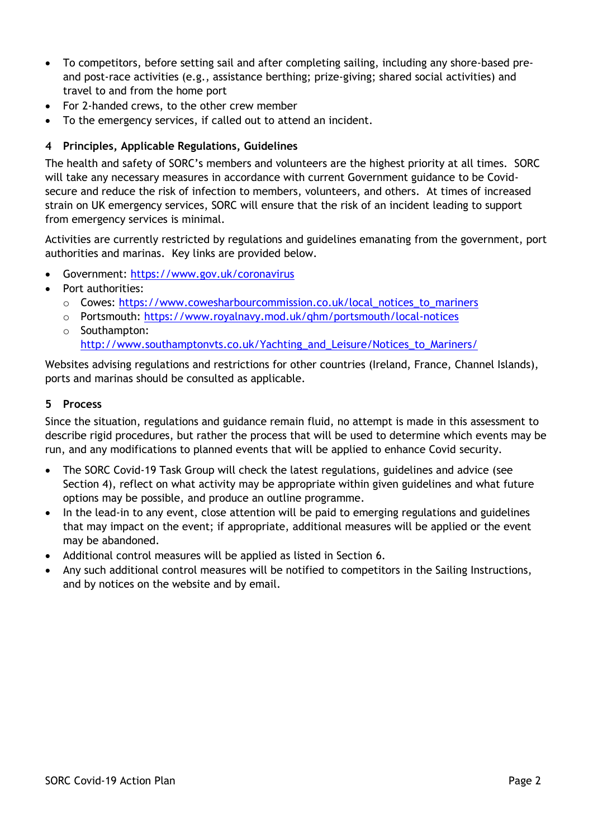- To competitors, before setting sail and after completing sailing, including any shore-based preand post-race activities (e.g., assistance berthing; prize-giving; shared social activities) and travel to and from the home port
- For 2-handed crews, to the other crew member
- To the emergency services, if called out to attend an incident.

## <span id="page-1-0"></span>**4 Principles, Applicable Regulations, Guidelines**

The health and safety of SORC's members and volunteers are the highest priority at all times. SORC will take any necessary measures in accordance with current Government guidance to be Covidsecure and reduce the risk of infection to members, volunteers, and others. At times of increased strain on UK emergency services, SORC will ensure that the risk of an incident leading to support from emergency services is minimal.

Activities are currently restricted by regulations and guidelines emanating from the government, port authorities and marinas. Key links are provided below.

- Government:<https://www.gov.uk/coronavirus>
- Port authorities:
	- o Cowes: [https://www.cowesharbourcommission.co.uk/local\\_notices\\_to\\_mariners](https://www.cowesharbourcommission.co.uk/local_notices_to_mariners)
	- o Portsmouth:<https://www.royalnavy.mod.uk/qhm/portsmouth/local-notices>
	- o Southampton: http://www.southamptonyts.co.uk/Yachting\_and\_Leisure/Notices\_to\_Mariners/

Websites advising regulations and restrictions for other countries (Ireland, France, Channel Islands), ports and marinas should be consulted as applicable.

#### **5 Process**

Since the situation, regulations and guidance remain fluid, no attempt is made in this assessment to describe rigid procedures, but rather the process that will be used to determine which events may be run, and any modifications to planned events that will be applied to enhance Covid security.

- The SORC Covid-19 Task Group will check the latest regulations, guidelines and advice (see Section [4\)](#page-1-0), reflect on what activity may be appropriate within given guidelines and what future options may be possible, and produce an outline programme.
- In the lead-in to any event, close attention will be paid to emerging regulations and guidelines that may impact on the event; if appropriate, additional measures will be applied or the event may be abandoned.
- Additional control measures will be applied as listed in Section [6.](#page-2-0)
- Any such additional control measures will be notified to competitors in the Sailing Instructions, and by notices on the website and by email.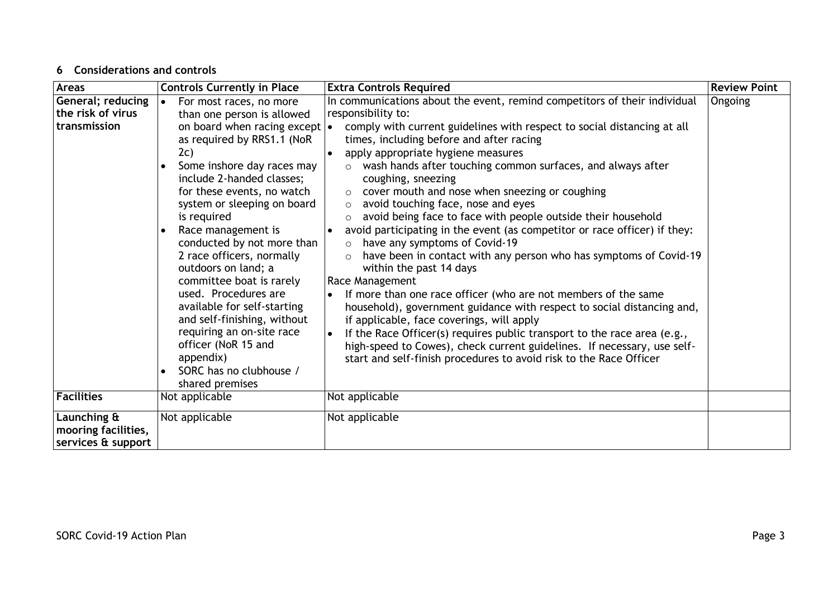#### **6 Considerations and controls**

<span id="page-2-0"></span>

| <b>Areas</b>                                             | <b>Controls Currently in Place</b>                                                                                                                                                                                                                                                                                                                                                                                                                                                                                                                                                                                             | <b>Extra Controls Required</b>                                                                                                                                                                                                                                                                                                                                                                                                                                                                                                                                                                                                                                                                                                                                                                                                                                                                                                                                                                                                                                                                                                                                                                                                       | <b>Review Point</b> |
|----------------------------------------------------------|--------------------------------------------------------------------------------------------------------------------------------------------------------------------------------------------------------------------------------------------------------------------------------------------------------------------------------------------------------------------------------------------------------------------------------------------------------------------------------------------------------------------------------------------------------------------------------------------------------------------------------|--------------------------------------------------------------------------------------------------------------------------------------------------------------------------------------------------------------------------------------------------------------------------------------------------------------------------------------------------------------------------------------------------------------------------------------------------------------------------------------------------------------------------------------------------------------------------------------------------------------------------------------------------------------------------------------------------------------------------------------------------------------------------------------------------------------------------------------------------------------------------------------------------------------------------------------------------------------------------------------------------------------------------------------------------------------------------------------------------------------------------------------------------------------------------------------------------------------------------------------|---------------------|
| General; reducing<br>the risk of virus<br>transmission   | For most races, no more<br>$\bullet$<br>than one person is allowed<br>on board when racing except $\cdot$<br>as required by RRS1.1 (NoR<br>2c)<br>Some inshore day races may<br>include 2-handed classes;<br>for these events, no watch<br>system or sleeping on board<br>is required<br>Race management is<br>conducted by not more than<br>2 race officers, normally<br>outdoors on land; a<br>committee boat is rarely<br>used. Procedures are<br>available for self-starting<br>and self-finishing, without<br>requiring an on-site race<br>officer (NoR 15 and<br>appendix)<br>SORC has no clubhouse /<br>shared premises | In communications about the event, remind competitors of their individual<br>responsibility to:<br>comply with current guidelines with respect to social distancing at all<br>times, including before and after racing<br>apply appropriate hygiene measures<br>wash hands after touching common surfaces, and always after<br>$\circ$<br>coughing, sneezing<br>cover mouth and nose when sneezing or coughing<br>avoid touching face, nose and eyes<br>$\circ$<br>avoid being face to face with people outside their household<br>$\circ$<br>avoid participating in the event (as competitor or race officer) if they:<br>$\bullet$<br>have any symptoms of Covid-19<br>$\circ$<br>have been in contact with any person who has symptoms of Covid-19<br>$\circ$<br>within the past 14 days<br>Race Management<br>If more than one race officer (who are not members of the same<br>household), government guidance with respect to social distancing and,<br>if applicable, face coverings, will apply<br>If the Race Officer(s) requires public transport to the race area (e.g.,<br>high-speed to Cowes), check current guidelines. If necessary, use self-<br>start and self-finish procedures to avoid risk to the Race Officer | Ongoing             |
| <b>Facilities</b>                                        | Not applicable                                                                                                                                                                                                                                                                                                                                                                                                                                                                                                                                                                                                                 | Not applicable                                                                                                                                                                                                                                                                                                                                                                                                                                                                                                                                                                                                                                                                                                                                                                                                                                                                                                                                                                                                                                                                                                                                                                                                                       |                     |
| Launching &<br>mooring facilities,<br>services & support | Not applicable                                                                                                                                                                                                                                                                                                                                                                                                                                                                                                                                                                                                                 | Not applicable                                                                                                                                                                                                                                                                                                                                                                                                                                                                                                                                                                                                                                                                                                                                                                                                                                                                                                                                                                                                                                                                                                                                                                                                                       |                     |